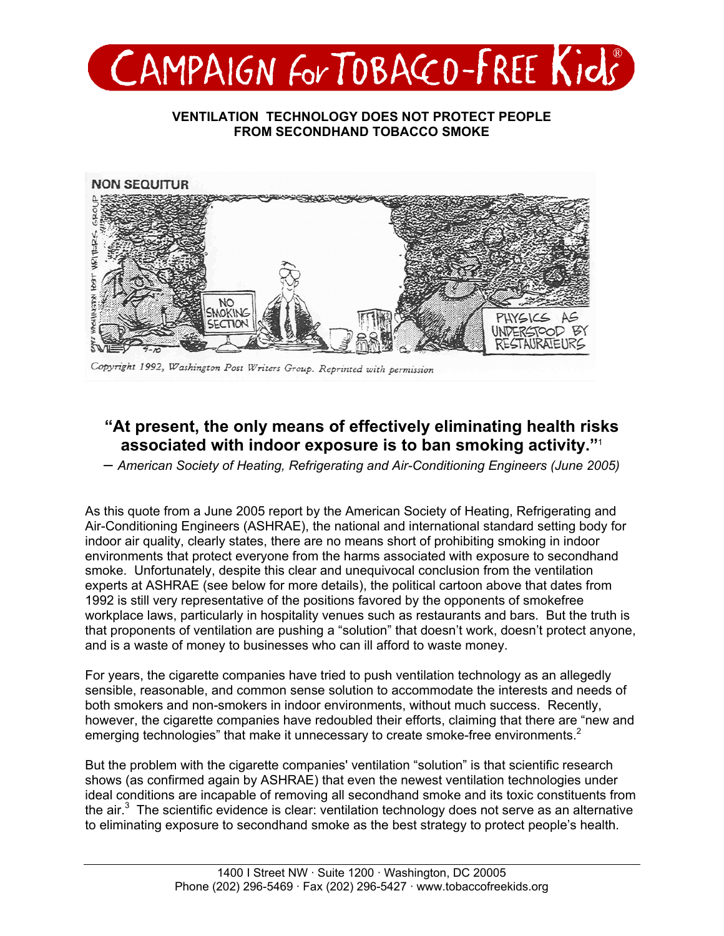

### **VENTILATION TECHNOLOGY DOES NOT PROTECT PEOPLE FROM SECONDHAND TOBACCO SMOKE**



Copyright 1992, Washington Post Writers Group. Reprinted with permission

# **"At present, the only means of effectively eliminating health risks associated with indoor exposure is to ban smoking activity."**<sup>1</sup>

– *American Society of Heating, Refrigerating and Air-Conditioning Engineers (June 2005)* 

As this quote from a June 2005 report by the American Society of Heating, Refrigerating and Air-Conditioning Engineers (ASHRAE), the national and international standard setting body for indoor air quality, clearly states, there are no means short of prohibiting smoking in indoor environments that protect everyone from the harms associated with exposure to secondhand smoke. Unfortunately, despite this clear and unequivocal conclusion from the ventilation experts at ASHRAE (see below for more details), the political cartoon above that dates from 1992 is still very representative of the positions favored by the opponents of smokefree workplace laws, particularly in hospitality venues such as restaurants and bars. But the truth is that proponents of ventilation are pushing a "solution" that doesn't work, doesn't protect anyone, and is a waste of money to businesses who can ill afford to waste money.

For years, the cigarette companies have tried to push ventilation technology as an allegedly sensible, reasonable, and common sense solution to accommodate the interests and needs of both smokers and non-smokers in indoor environments, without much success. Recently, however, the cigarette companies have redoubled their efforts, claiming that there are "new and emerging technologies" that make it unnecessary to create smoke-free environments.<sup>2</sup>

But the problem with the cigarette companies' ventilation "solution" is that scientific research shows (as confirmed again by ASHRAE) that even the newest ventilation technologies under ideal conditions are incapable of removing all secondhand smoke and its toxic constituents from the air. $3$  The scientific evidence is clear: ventilation technology does not serve as an alternative to eliminating exposure to secondhand smoke as the best strategy to protect people's health.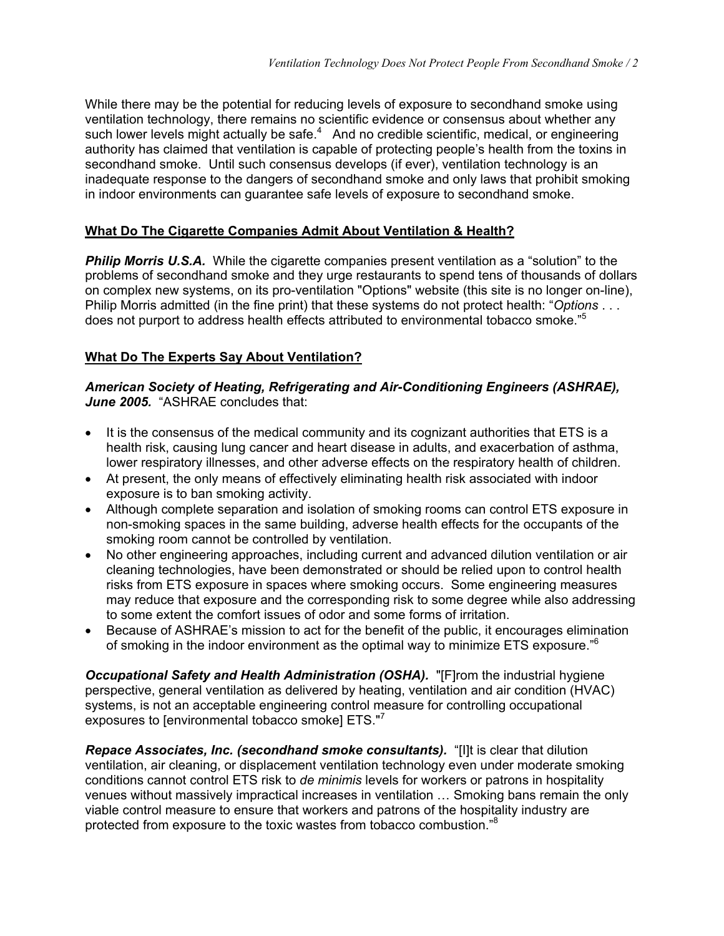While there may be the potential for reducing levels of exposure to secondhand smoke using ventilation technology, there remains no scientific evidence or consensus about whether any such lower levels might actually be safe. $4$  And no credible scientific, medical, or engineering authority has claimed that ventilation is capable of protecting people's health from the toxins in secondhand smoke. Until such consensus develops (if ever), ventilation technology is an inadequate response to the dangers of secondhand smoke and only laws that prohibit smoking in indoor environments can guarantee safe levels of exposure to secondhand smoke.

## **What Do The Cigarette Companies Admit About Ventilation & Health?**

**Philip Morris U.S.A.** While the cigarette companies present ventilation as a "solution" to the problems of secondhand smoke and they urge restaurants to spend tens of thousands of dollars on complex new systems, on its pro-ventilation "Options" website (this site is no longer on-line), Philip Morris admitted (in the fine print) that these systems do not protect health: "*Options* . . . does not purport to address health effects attributed to environmental tobacco smoke."<sup>5</sup>

## **What Do The Experts Say About Ventilation?**

### *American Society of Heating, Refrigerating and Air-Conditioning Engineers (ASHRAE),*  June 2005. "ASHRAE concludes that:

- It is the consensus of the medical community and its cognizant authorities that ETS is a health risk, causing lung cancer and heart disease in adults, and exacerbation of asthma, lower respiratory illnesses, and other adverse effects on the respiratory health of children.
- At present, the only means of effectively eliminating health risk associated with indoor exposure is to ban smoking activity.
- Although complete separation and isolation of smoking rooms can control ETS exposure in non-smoking spaces in the same building, adverse health effects for the occupants of the smoking room cannot be controlled by ventilation.
- No other engineering approaches, including current and advanced dilution ventilation or air cleaning technologies, have been demonstrated or should be relied upon to control health risks from ETS exposure in spaces where smoking occurs. Some engineering measures may reduce that exposure and the corresponding risk to some degree while also addressing to some extent the comfort issues of odor and some forms of irritation.
- Because of ASHRAE's mission to act for the benefit of the public, it encourages elimination of smoking in the indoor environment as the optimal way to minimize ETS exposure."<sup>6</sup>

*Occupational Safety and Health Administration (OSHA).* "[F]rom the industrial hygiene perspective, general ventilation as delivered by heating, ventilation and air condition (HVAC) systems, is not an acceptable engineering control measure for controlling occupational exposures to [environmental tobacco smoke] ETS."<sup>7</sup>

*Repace Associates, Inc. (secondhand smoke consultants).* "[I]t is clear that dilution ventilation, air cleaning, or displacement ventilation technology even under moderate smoking conditions cannot control ETS risk to *de minimis* levels for workers or patrons in hospitality venues without massively impractical increases in ventilation … Smoking bans remain the only viable control measure to ensure that workers and patrons of the hospitality industry are protected from exposure to the toxic wastes from tobacco combustion."8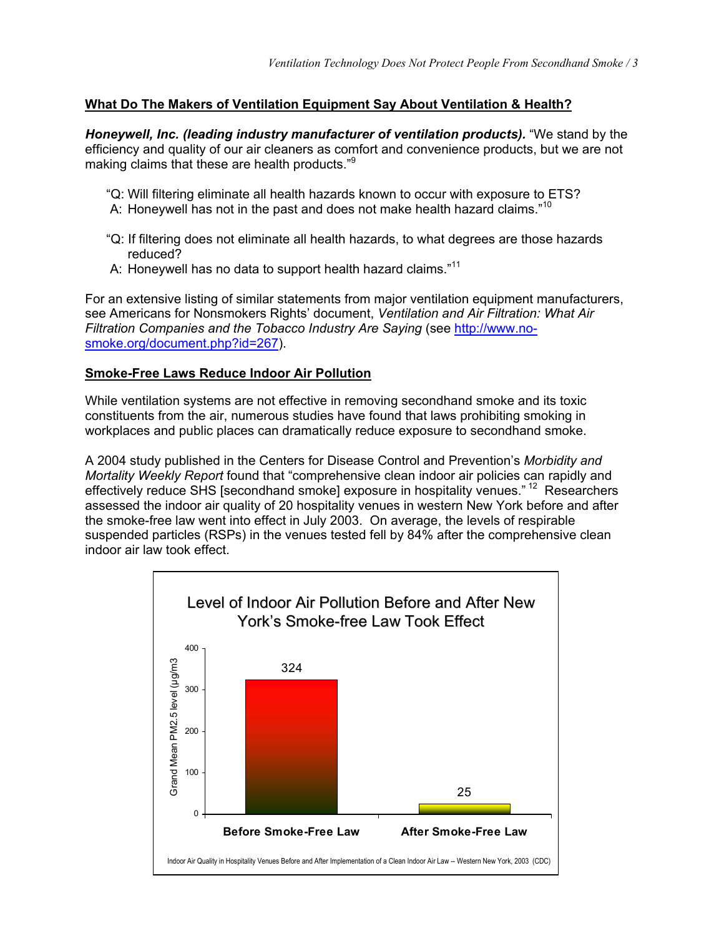#### **What Do The Makers of Ventilation Equipment Say About Ventilation & Health?**

*Honeywell, Inc. (leading industry manufacturer of ventilation products).* "We stand by the efficiency and quality of our air cleaners as comfort and convenience products, but we are not making claims that these are health products."9

- "Q: Will filtering eliminate all health hazards known to occur with exposure to ETS?
- A: Honeywell has not in the past and does not make health hazard claims."<sup>10</sup>
- "Q: If filtering does not eliminate all health hazards, to what degrees are those hazards reduced?
- A: Honeywell has no data to support health hazard claims."<sup>11</sup>

For an extensive listing of similar statements from major ventilation equipment manufacturers, see Americans for Nonsmokers Rights' document, *Ventilation and Air Filtration: What Air [Filtration Companies and the Tobacco Industry Are Saying](http://www.nosmoke.org/document.php?id=267)* (see http://www.nosmoke.org/document.php?id=267).

#### **Smoke-Free Laws Reduce Indoor Air Pollution**

While ventilation systems are not effective in removing secondhand smoke and its toxic constituents from the air, numerous studies have found that laws prohibiting smoking in workplaces and public places can dramatically reduce exposure to secondhand smoke.

A 2004 study published in the Centers for Disease Control and Prevention's *Morbidity and Mortality Weekly Report* found that "comprehensive clean indoor air policies can rapidly and effectively reduce SHS [secondhand smoke] exposure in hospitality venues." 12 Researchers assessed the indoor air quality of 20 hospitality venues in western New York before and after the smoke-free law went into effect in July 2003. On average, the levels of respirable suspended particles (RSPs) in the venues tested fell by 84% after the comprehensive clean indoor air law took effect.

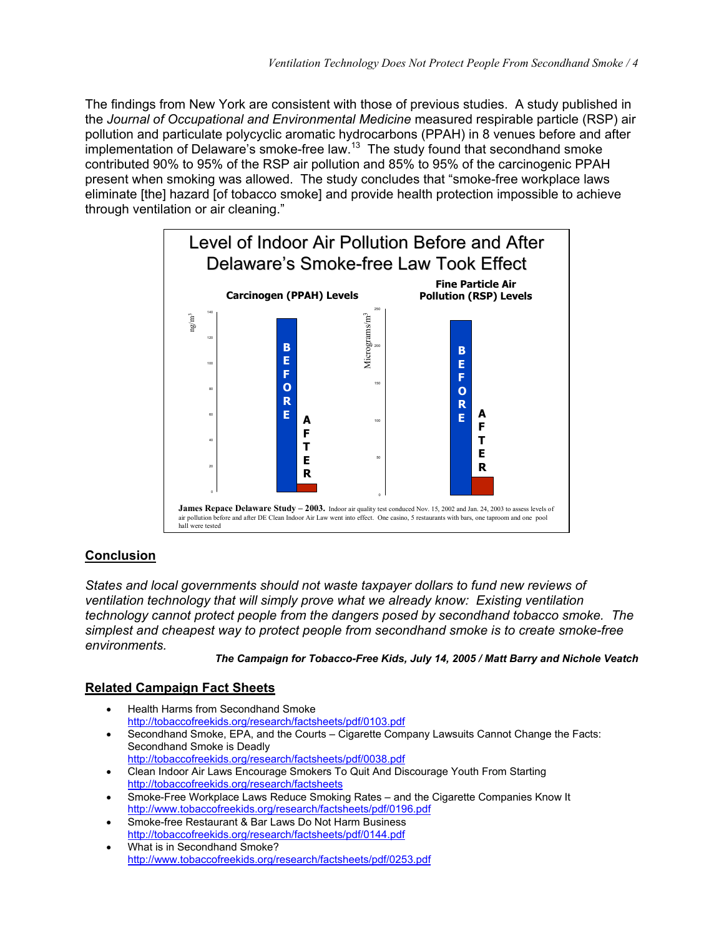The findings from New York are consistent with those of previous studies. A study published in the *Journal of Occupational and Environmental Medicine* measured respirable particle (RSP) air pollution and particulate polycyclic aromatic hydrocarbons (PPAH) in 8 venues before and after implementation of Delaware's smoke-free law.<sup>13</sup> The study found that secondhand smoke contributed 90% to 95% of the RSP air pollution and 85% to 95% of the carcinogenic PPAH present when smoking was allowed. The study concludes that "smoke-free workplace laws eliminate [the] hazard [of tobacco smoke] and provide health protection impossible to achieve through ventilation or air cleaning."



## **Conclusion**

*States and local governments should not waste taxpayer dollars to fund new reviews of ventilation technology that will simply prove what we already know: Existing ventilation technology cannot protect people from the dangers posed by secondhand tobacco smoke. The simplest and cheapest way to protect people from secondhand smoke is to create smoke-free environments.* 

*The Campaign for Tobacco-Free Kids, July 14, 2005 / Matt Barry and Nichole Veatch* 

#### **Related Campaign Fact Sheets**

- Health Harms from Secondhand Smoke <http://tobaccofreekids.org/research/factsheets/pdf/0103.pdf> • Secondhand Smoke, EPA, and the Courts – Cigarette Company Lawsuits Cannot Change the Facts: Secondhand Smoke is Deadly <http://tobaccofreekids.org/research/factsheets/pdf/0038.pdf> • Clean Indoor Air Laws Encourage Smokers To Quit And Discourage Youth From Starting <http://tobaccofreekids.org/research/factsheets>
- Smoke-Free Workplace Laws Reduce Smoking Rates and the Cigarette Companies Know It <http://www.tobaccofreekids.org/research/factsheets/pdf/0196.pdf>
- Smoke-free Restaurant & Bar Laws Do Not Harm Business <http://tobaccofreekids.org/research/factsheets/pdf/0144.pdf>
- What is in Secondhand Smoke? <http://www.tobaccofreekids.org/research/factsheets/pdf/0253.pdf>